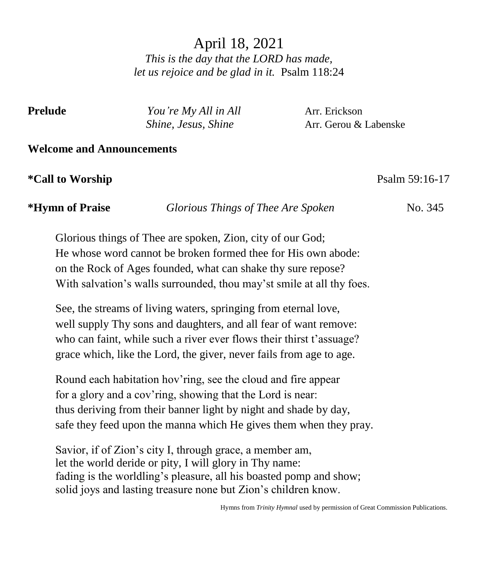# April 18, 2021 *This is the day that the LORD has made, let us rejoice and be glad in it.* Psalm 118:24

| elua |  |
|------|--|
|------|--|

*You're My All in All* **Arr.** Erickson *Shine, Jesus, Shine* Arr. Gerou & Labenske

### **Welcome and Announcements**

### **\*Call to Worship** Psalm 59:16-17

**\*Hymn of Praise** *Glorious Things of Thee Are Spoken* No. 345

Glorious things of Thee are spoken, Zion, city of our God; He whose word cannot be broken formed thee for His own abode: on the Rock of Ages founded, what can shake thy sure repose? With salvation's walls surrounded, thou may'st smile at all thy foes.

See, the streams of living waters, springing from eternal love, well supply Thy sons and daughters, and all fear of want remove: who can faint, while such a river ever flows their thirst t'assuage? grace which, like the Lord, the giver, never fails from age to age.

Round each habitation hov'ring, see the cloud and fire appear for a glory and a cov'ring, showing that the Lord is near: thus deriving from their banner light by night and shade by day, safe they feed upon the manna which He gives them when they pray.

Savior, if of Zion's city I, through grace, a member am, let the world deride or pity, I will glory in Thy name: fading is the worldling's pleasure, all his boasted pomp and show; solid joys and lasting treasure none but Zion's children know.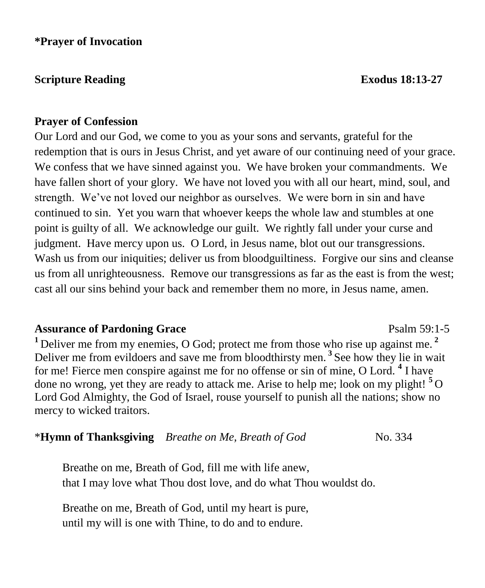### **Scripture Reading Exodus** 18:13-27

### **Prayer of Confession**

Our Lord and our God, we come to you as your sons and servants, grateful for the redemption that is ours in Jesus Christ, and yet aware of our continuing need of your grace. We confess that we have sinned against you. We have broken your commandments. We have fallen short of your glory. We have not loved you with all our heart, mind, soul, and strength. We've not loved our neighbor as ourselves. We were born in sin and have continued to sin. Yet you warn that whoever keeps the whole law and stumbles at one point is guilty of all. We acknowledge our guilt. We rightly fall under your curse and judgment. Have mercy upon us. O Lord, in Jesus name, blot out our transgressions. Wash us from our iniquities; deliver us from bloodguiltiness. Forgive our sins and cleanse us from all unrighteousness. Remove our transgressions as far as the east is from the west; cast all our sins behind your back and remember them no more, in Jesus name, amen.

### **Assurance of Pardoning Grace**  Psalm 59:1-5

**<sup>1</sup>** Deliver me from my enemies, O God; protect me from those who rise up against me. **<sup>2</sup>** Deliver me from evildoers and save me from bloodthirsty men. **<sup>3</sup>** See how they lie in wait for me! Fierce men conspire against me for no offense or sin of mine, O Lord. **<sup>4</sup>** I have done no wrong, yet they are ready to attack me. Arise to help me; look on my plight! **<sup>5</sup>**O Lord God Almighty, the God of Israel, rouse yourself to punish all the nations; show no mercy to wicked traitors.

\***Hymn of Thanksgiving** *Breathe on Me, Breath of God*No. 334

Breathe on me, Breath of God, fill me with life anew, that I may love what Thou dost love, and do what Thou wouldst do.

Breathe on me, Breath of God, until my heart is pure, until my will is one with Thine, to do and to endure.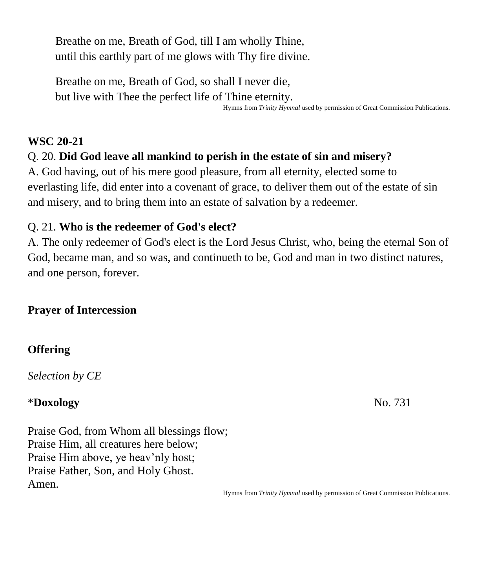Breathe on me, Breath of God, till I am wholly Thine, until this earthly part of me glows with Thy fire divine.

Breathe on me, Breath of God, so shall I never die, but live with Thee the perfect life of Thine eternity.

Hymns from *Trinity Hymnal* used by permission of Great Commission Publications.

# **WSC 20-21**

# Q. 20. **Did God leave all mankind to perish in the estate of sin and misery?**

A. God having, out of his mere good pleasure, from all eternity, elected some to everlasting life, did enter into a covenant of grace, to deliver them out of the estate of sin and misery, and to bring them into an estate of salvation by a redeemer.

# Q. 21. **Who is the redeemer of God's elect?**

A. The only redeemer of God's elect is the Lord Jesus Christ, who, being the eternal Son of God, became man, and so was, and continueth to be, God and man in two distinct natures, and one person, forever.

# **Prayer of Intercession**

# **Offering**

*Selection by CE*

# \***Doxology** No. 731

Praise God, from Whom all blessings flow; Praise Him, all creatures here below; Praise Him above, ye heav'nly host; Praise Father, Son, and Holy Ghost. Amen.

Hymns from *Trinity Hymnal* used by permission of Great Commission Publications.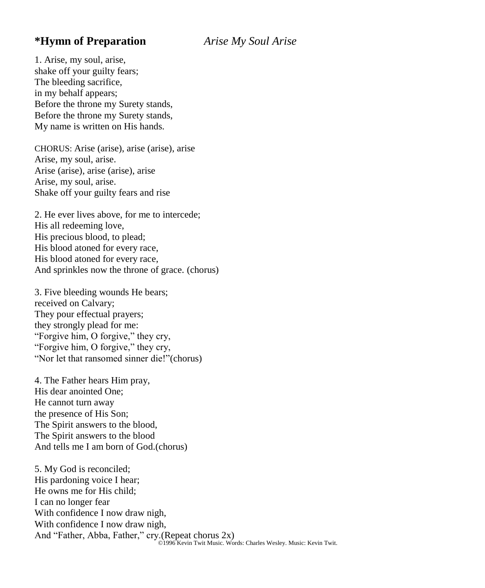### **\*Hymn of Preparation** *Arise My Soul Arise*

1. Arise, my soul, arise, shake off your guilty fears; The bleeding sacrifice, in my behalf appears; Before the throne my Surety stands, Before the throne my Surety stands, My name is written on His hands.

CHORUS: Arise (arise), arise (arise), arise Arise, my soul, arise. Arise (arise), arise (arise), arise Arise, my soul, arise. Shake off your guilty fears and rise

2. He ever lives above, for me to intercede; His all redeeming love, His precious blood, to plead; His blood atoned for every race, His blood atoned for every race, And sprinkles now the throne of grace. (chorus)

3. Five bleeding wounds He bears; received on Calvary; They pour effectual prayers; they strongly plead for me: "Forgive him, O forgive," they cry, "Forgive him, O forgive," they cry, "Nor let that ransomed sinner die!"(chorus)

4. The Father hears Him pray, His dear anointed One; He cannot turn away the presence of His Son; The Spirit answers to the blood, The Spirit answers to the blood And tells me I am born of God.(chorus)

5. My God is reconciled; His pardoning voice I hear; He owns me for His child; I can no longer fear With confidence I now draw nigh, With confidence I now draw nigh, And "Father, Abba, Father," cry.(Repeat chorus 2x) ©1996 Kevin Twit Music. Words: Charles Wesley. Music: Kevin Twit.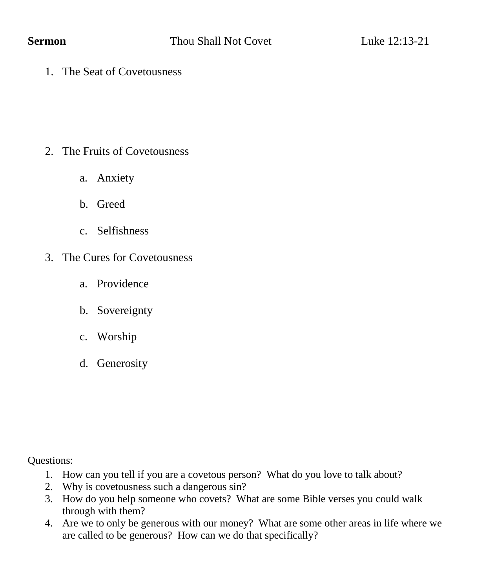1. The Seat of Covetousness

- 2. The Fruits of Covetousness
	- a. Anxiety
	- b. Greed
	- c. Selfishness
- 3. The Cures for Covetousness
	- a. Providence
	- b. Sovereignty
	- c. Worship
	- d. Generosity

Questions:

- 1. How can you tell if you are a covetous person? What do you love to talk about?
- 2. Why is covetousness such a dangerous sin?
- 3. How do you help someone who covets? What are some Bible verses you could walk through with them?
- 4. Are we to only be generous with our money? What are some other areas in life where we are called to be generous? How can we do that specifically?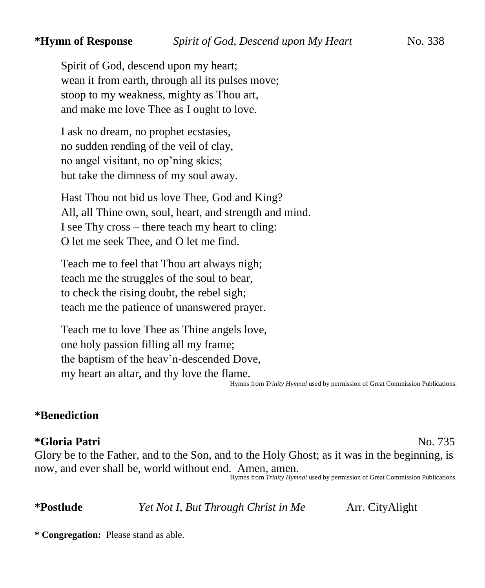Spirit of God, descend upon my heart; wean it from earth, through all its pulses move; stoop to my weakness, mighty as Thou art, and make me love Thee as I ought to love.

I ask no dream, no prophet ecstasies, no sudden rending of the veil of clay, no angel visitant, no op'ning skies; but take the dimness of my soul away.

Hast Thou not bid us love Thee, God and King? All, all Thine own, soul, heart, and strength and mind. I see Thy cross – there teach my heart to cling: O let me seek Thee, and O let me find.

Teach me to feel that Thou art always nigh; teach me the struggles of the soul to bear, to check the rising doubt, the rebel sigh; teach me the patience of unanswered prayer.

Teach me to love Thee as Thine angels love, one holy passion filling all my frame; the baptism of the heav'n-descended Dove, my heart an altar, and thy love the flame.

Hymns from *Trinity Hymnal* used by permission of Great Commission Publications.

### **\*Benediction**

### **\*Gloria Patri** No. 735

Glory be to the Father, and to the Son, and to the Holy Ghost; as it was in the beginning, is now, and ever shall be, world without end. Amen, amen.

Hymns from *Trinity Hymnal* used by permission of Great Commission Publications.

**\*Postlude** *Yet Not I, But Through Christ in Me* Arr. CityAlight

**\* Congregation:** Please stand as able.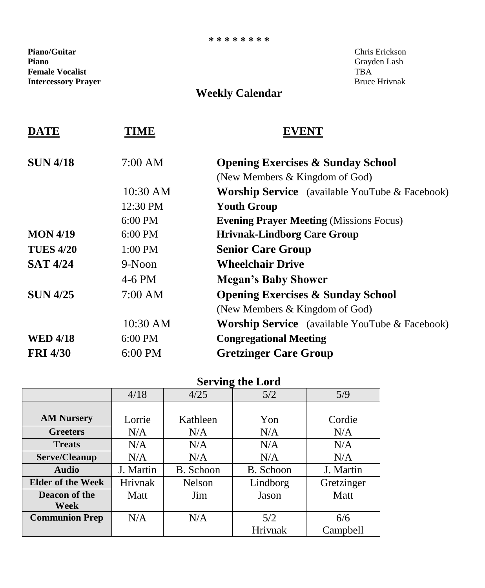### **\* \* \* \* \* \* \* \***

**Piano/Guitar** Chris Erickson **Piano** Grayden Lash **Female Vocalist** TBA<br> **Intercessory Prayer** Service Services of the Service Service Service Services Services Services Services Services **Intercessory Prayer** 

# **Weekly Calendar**

| <b>Opening Exercises &amp; Sunday School</b>          |  |  |
|-------------------------------------------------------|--|--|
|                                                       |  |  |
| <b>Worship Service</b> (available YouTube & Facebook) |  |  |
|                                                       |  |  |
|                                                       |  |  |
|                                                       |  |  |
|                                                       |  |  |
|                                                       |  |  |
|                                                       |  |  |
|                                                       |  |  |
|                                                       |  |  |
| <b>Worship Service</b> (available YouTube & Facebook) |  |  |
|                                                       |  |  |
|                                                       |  |  |
|                                                       |  |  |

# **Serving the Lord**

|                          | 4/18      | 4/25      | 5/2       | 5/9        |
|--------------------------|-----------|-----------|-----------|------------|
|                          |           |           |           |            |
| <b>AM Nursery</b>        | Lorrie    | Kathleen  | Yon       | Cordie     |
| <b>Greeters</b>          | N/A       | N/A       | N/A       | N/A        |
| <b>Treats</b>            | N/A       | N/A       | N/A       | N/A        |
| Serve/Cleanup            | N/A       | N/A       | N/A       | N/A        |
| <b>Audio</b>             | J. Martin | B. Schoon | B. Schoon | J. Martin  |
| <b>Elder of the Week</b> | Hrivnak   | Nelson    | Lindborg  | Gretzinger |
| Deacon of the            | Matt      | Jim       | Jason     | Matt       |
| Week                     |           |           |           |            |
| <b>Communion Prep</b>    | N/A       | N/A       | 5/2       | 6/6        |
|                          |           |           | Hrivnak   | Campbell   |